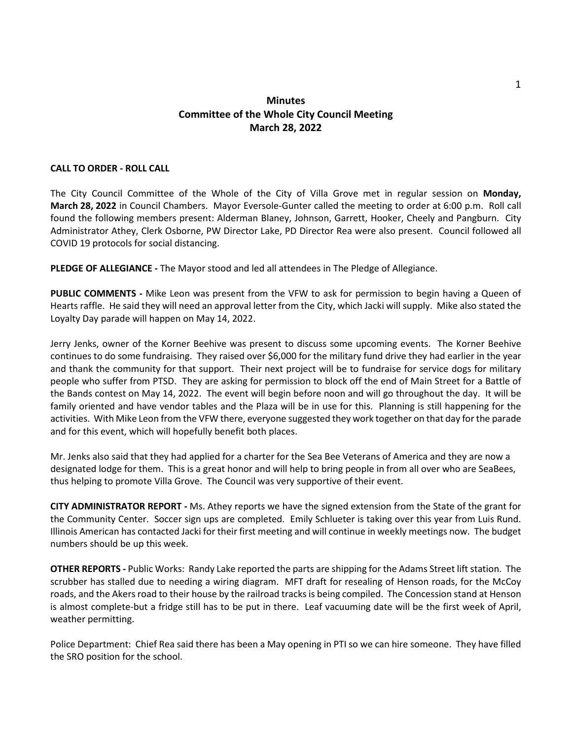## **Minutes Committee of the Whole City Council Meeting March 28, 2022**

## **CALL TO ORDER - ROLL CALL**

The City Council Committee of the Whole of the City of Villa Grove met in regular session on **Monday, March 28, 2022** in Council Chambers. Mayor Eversole-Gunter called the meeting to order at 6:00 p.m. Roll call found the following members present: Alderman Blaney, Johnson, Garrett, Hooker, Cheely and Pangburn. City Administrator Athey, Clerk Osborne, PW Director Lake, PD Director Rea were also present. Council followed all COVID 19 protocols for social distancing.

**PLEDGE OF ALLEGIANCE -** The Mayor stood and led all attendees in The Pledge of Allegiance.

**PUBLIC COMMENTS -** Mike Leon was present from the VFW to ask for permission to begin having a Queen of Hearts raffle. He said they will need an approval letter from the City, which Jacki will supply. Mike also stated the Loyalty Day parade will happen on May 14, 2022.

Jerry Jenks, owner of the Korner Beehive was present to discuss some upcoming events. The Korner Beehive continues to do some fundraising. They raised over \$6,000 for the military fund drive they had earlier in the year and thank the community for that support. Their next project will be to fundraise for service dogs for military people who suffer from PTSD. They are asking for permission to block off the end of Main Street for a Battle of the Bands contest on May 14, 2022. The event will begin before noon and will go throughout the day. It will be family oriented and have vendor tables and the Plaza will be in use for this. Planning is still happening for the activities. With Mike Leon from the VFW there, everyone suggested they work together on that day for the parade and for this event, which will hopefully benefit both places.

Mr. Jenks also said that they had applied for a charter for the Sea Bee Veterans of America and they are now a designated lodge for them. This is a great honor and will help to bring people in from all over who are SeaBees, thus helping to promote Villa Grove. The Council was very supportive of their event.

**CITY ADMINISTRATOR REPORT -** Ms. Athey reports we have the signed extension from the State of the grant for the Community Center. Soccer sign ups are completed. Emily Schlueter is taking over this year from Luis Rund. Illinois American has contacted Jacki for their first meeting and will continue in weekly meetings now. The budget numbers should be up this week.

**OTHER REPORTS -** Public Works: Randy Lake reported the parts are shipping for the Adams Street lift station. The scrubber has stalled due to needing a wiring diagram. MFT draft for resealing of Henson roads, for the McCoy roads, and the Akers road to their house by the railroad tracks is being compiled. The Concession stand at Henson is almost complete-but a fridge still has to be put in there. Leaf vacuuming date will be the first week of April, weather permitting.

Police Department: Chief Rea said there has been a May opening in PTI so we can hire someone. They have filled the SRO position for the school.